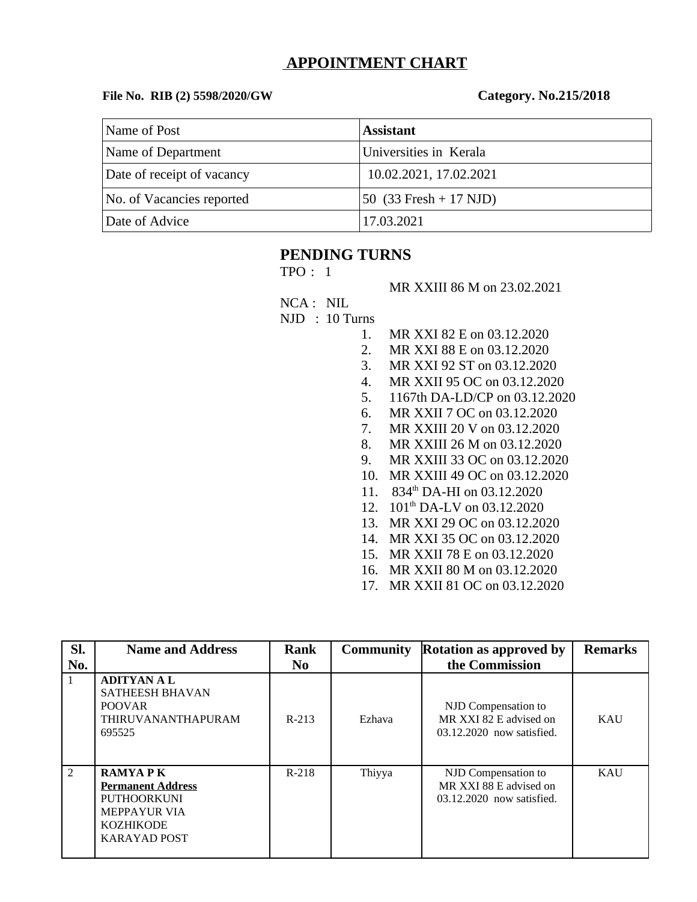# **APPOINTMENT CHART**

#### **File No. RIB (2) 5598/2020/GW Category. No.215/2018**

| Name of Post               | <b>Assistant</b>         |
|----------------------------|--------------------------|
| Name of Department         | Universities in Kerala   |
| Date of receipt of vacancy | 10.02.2021, 17.02.2021   |
| No. of Vacancies reported  | 50 $(33$ Fresh + 17 NJD) |
| Date of Advice             | 17.03.2021               |

## **PENDING TURNS**

TPO : 1

MR XXIII 86 M on 23.02.2021

NCA : NIL

NJD : 10 Turns

- 1. MR XXI 82 E on 03.12.2020
- 2. MR XXI 88 E on 03.12.2020
- 3. MR XXI 92 ST on 03.12.2020
- 4. MR XXII 95 OC on 03.12.2020
- 5. 1167th DA-LD/CP on 03.12.2020
- 6. MR XXII 7 OC on 03.12.2020
- 7. MR XXIII 20 V on 03.12.2020
- 8. MR XXIII 26 M on 03.12.2020
- 9. MR XXIII 33 OC on 03.12.2020
- 10. MR XXIII 49 OC on 03.12.2020
- 11. 834<sup>th</sup> DA-HI on 03.12.2020
- 12. 101<sup>th</sup> DA-LV on 03.12.2020
- 13. MR XXI 29 OC on 03.12.2020
- 14. MR XXI 35 OC on 03.12.2020
- 15. MR XXII 78 E on 03.12.2020
- 16. MR XXII 80 M on 03.12.2020
- 17. MR XXII 81 OC on 03.12.2020

| SI.            | <b>Name and Address</b>                                                                                                     | Rank           | <b>Community</b> | <b>Rotation as approved by</b>                                             | Remarks    |
|----------------|-----------------------------------------------------------------------------------------------------------------------------|----------------|------------------|----------------------------------------------------------------------------|------------|
| No.            |                                                                                                                             | N <sub>0</sub> |                  | the Commission                                                             |            |
| 1              | <b>ADITYAN A L</b><br><b>SATHEESH BHAVAN</b><br><b>POOVAR</b><br>THIRUVANANTHAPURAM<br>695525                               | $R-213$        | Ezhava           | NJD Compensation to<br>MR XXI 82 E advised on<br>03.12.2020 now satisfied. | KAU        |
| $\overline{2}$ | <b>RAMYAPK</b><br><b>Permanent Address</b><br>PUTHOORKUNI<br><b>MEPPAYUR VIA</b><br><b>KOZHIKODE</b><br><b>KARAYAD POST</b> | $R-218$        | Thiyya           | NJD Compensation to<br>MR XXI 88 E advised on<br>03.12.2020 now satisfied. | <b>KAU</b> |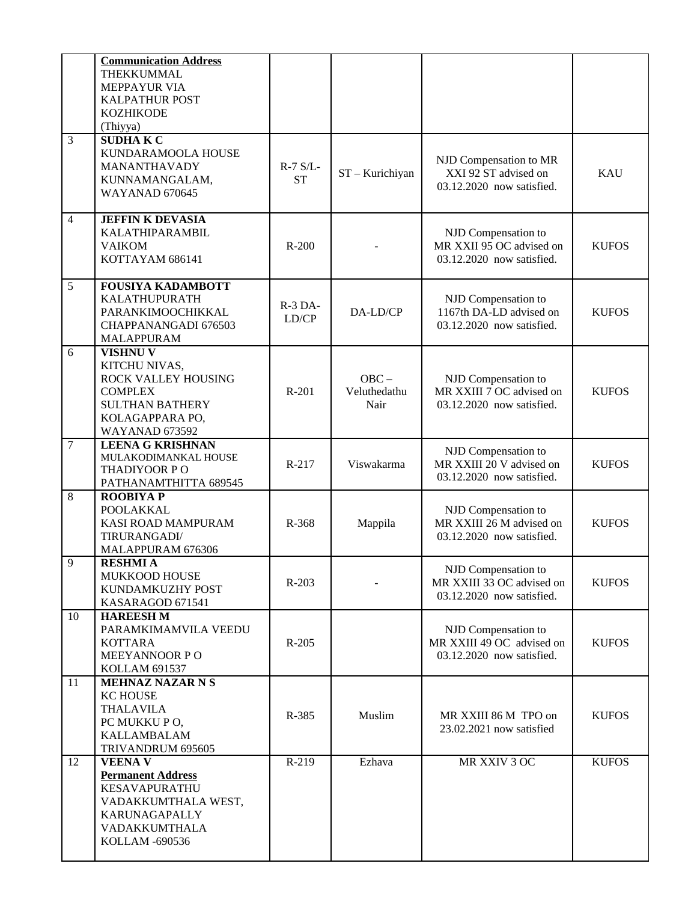|                  | <b>Communication Address</b><br>THEKKUMMAL<br><b>MEPPAYUR VIA</b><br><b>KALPATHUR POST</b><br><b>KOZHIKODE</b><br>(Thiyya)                    |                         |                                 |                                                                               |              |
|------------------|-----------------------------------------------------------------------------------------------------------------------------------------------|-------------------------|---------------------------------|-------------------------------------------------------------------------------|--------------|
| 3                | <b>SUDHAKC</b><br>KUNDARAMOOLA HOUSE<br>MANANTHAVADY<br>KUNNAMANGALAM,<br>WAYANAD 670645                                                      | $R-7$ S/L-<br><b>ST</b> | ST - Kurichiyan                 | NJD Compensation to MR<br>XXI 92 ST advised on<br>03.12.2020 now satisfied.   | <b>KAU</b>   |
| $\overline{4}$   | <b>JEFFIN K DEVASIA</b><br>KALATHIPARAMBIL<br><b>VAIKOM</b><br>KOTTAYAM 686141                                                                | $R-200$                 |                                 | NJD Compensation to<br>MR XXII 95 OC advised on<br>03.12.2020 now satisfied.  | <b>KUFOS</b> |
| 5                | <b>FOUSIYA KADAMBOTT</b><br>KALATHUPURATH<br>PARANKIMOOCHIKKAL<br>CHAPPANANGADI 676503<br><b>MALAPPURAM</b>                                   | R-3 DA-<br>LD/CP        | DA-LD/CP                        | NJD Compensation to<br>1167th DA-LD advised on<br>03.12.2020 now satisfied.   | <b>KUFOS</b> |
| 6                | <b>VISHNU V</b><br>KITCHU NIVAS,<br>ROCK VALLEY HOUSING<br><b>COMPLEX</b><br><b>SULTHAN BATHERY</b><br>KOLAGAPPARA PO,<br>WAYANAD 673592      | R-201                   | $OBC -$<br>Veluthedathu<br>Nair | NJD Compensation to<br>MR XXIII 7 OC advised on<br>03.12.2020 now satisfied.  | <b>KUFOS</b> |
| $\overline{7}$   | <b>LEENA G KRISHNAN</b><br>MULAKODIMANKAL HOUSE<br>THADIYOOR PO<br>PATHANAMTHITTA 689545                                                      | R-217                   | Viswakarma                      | NJD Compensation to<br>MR XXIII 20 V advised on<br>03.12.2020 now satisfied.  | <b>KUFOS</b> |
| 8                | <b>ROOBIYA P</b><br><b>POOLAKKAL</b><br>KASI ROAD MAMPURAM<br>TIRURANGADI/<br>MALAPPURAM 676306                                               | R-368                   | Mappila                         | NJD Compensation to<br>MR XXIII 26 M advised on<br>03.12.2020 now satisfied.  | <b>KUFOS</b> |
| $\boldsymbol{9}$ | <b>RESHMIA</b><br>MUKKOOD HOUSE<br>KUNDAMKUZHY POST<br>KASARAGOD 671541                                                                       | R-203                   |                                 | NJD Compensation to<br>MR XXIII 33 OC advised on<br>03.12.2020 now satisfied. | <b>KUFOS</b> |
| 10               | <b>HAREESH M</b><br>PARAMKIMAMVILA VEEDU<br><b>KOTTARA</b><br>MEEYANNOOR PO<br><b>KOLLAM 691537</b>                                           | $R-205$                 |                                 | NJD Compensation to<br>MR XXIII 49 OC advised on<br>03.12.2020 now satisfied. | <b>KUFOS</b> |
| 11               | <b>MEHNAZ NAZAR N S</b><br><b>KC HOUSE</b><br><b>THALAVILA</b><br>PC MUKKU PO,<br><b>KALLAMBALAM</b><br>TRIVANDRUM 695605                     | R-385                   | Muslim                          | MR XXIII 86 M TPO on<br>23.02.2021 now satisfied                              | <b>KUFOS</b> |
| 12               | <b>VEENA V</b><br><b>Permanent Address</b><br><b>KESAVAPURATHU</b><br>VADAKKUMTHALA WEST,<br>KARUNAGAPALLY<br>VADAKKUMTHALA<br>KOLLAM -690536 | R-219                   | Ezhava                          | MR XXIV 3 OC                                                                  | <b>KUFOS</b> |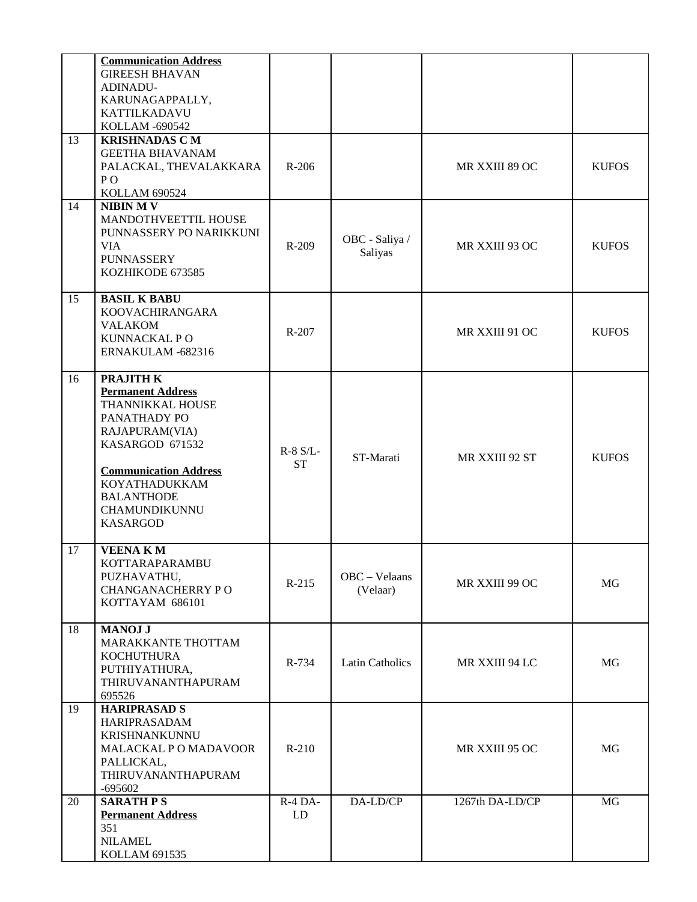|    | <b>Communication Address</b> |            |                        |                 |              |
|----|------------------------------|------------|------------------------|-----------------|--------------|
|    | <b>GIREESH BHAVAN</b>        |            |                        |                 |              |
|    | ADINADU-                     |            |                        |                 |              |
|    | KARUNAGAPPALLY,              |            |                        |                 |              |
|    | KATTILKADAVU                 |            |                        |                 |              |
|    | KOLLAM -690542               |            |                        |                 |              |
| 13 | <b>KRISHNADAS C M</b>        |            |                        |                 |              |
|    | <b>GEETHA BHAVANAM</b>       |            |                        |                 |              |
|    | PALACKAL, THEVALAKKARA       | R-206      |                        | MR XXIII 89 OC  | <b>KUFOS</b> |
|    | PO                           |            |                        |                 |              |
|    | <b>KOLLAM 690524</b>         |            |                        |                 |              |
| 14 | <b>NIBIN MV</b>              |            |                        |                 |              |
|    | MANDOTHVEETTIL HOUSE         |            |                        |                 |              |
|    | PUNNASSERY PO NARIKKUNI      |            |                        |                 |              |
|    | <b>VIA</b>                   | $R-209$    | OBC - Saliya /         | MR XXIII 93 OC  | <b>KUFOS</b> |
|    | <b>PUNNASSERY</b>            |            | <b>Saliyas</b>         |                 |              |
|    | KOZHIKODE 673585             |            |                        |                 |              |
|    |                              |            |                        |                 |              |
| 15 | <b>BASIL K BABU</b>          |            |                        |                 |              |
|    | KOOVACHIRANGARA              |            |                        |                 |              |
|    | <b>VALAKOM</b>               |            |                        |                 |              |
|    | KUNNACKAL PO                 | $R-207$    |                        | MR XXIII 91 OC  | <b>KUFOS</b> |
|    | ERNAKULAM -682316            |            |                        |                 |              |
|    |                              |            |                        |                 |              |
| 16 | PRAJITH K                    |            |                        |                 |              |
|    | <b>Permanent Address</b>     |            |                        |                 |              |
|    | THANNIKKAL HOUSE             |            |                        |                 |              |
|    | PANATHADY PO                 |            |                        |                 |              |
|    | RAJAPURAM(VIA)               |            |                        |                 |              |
|    | KASARGOD 671532              | $R-8 S/L-$ |                        |                 |              |
|    |                              | <b>ST</b>  | ST-Marati              | MR XXIII 92 ST  | <b>KUFOS</b> |
|    | <b>Communication Address</b> |            |                        |                 |              |
|    | KOYATHADUKKAM                |            |                        |                 |              |
|    | <b>BALANTHODE</b>            |            |                        |                 |              |
|    | CHAMUNDIKUNNU                |            |                        |                 |              |
|    | <b>KASARGOD</b>              |            |                        |                 |              |
|    |                              |            |                        |                 |              |
| 17 | <b>VEENAKM</b>               |            |                        |                 |              |
|    | KOTTARAPARAMBU               |            |                        |                 |              |
|    | PUZHAVATHU,                  | $R-215$    | OBC - Velaans          | MR XXIII 99 OC  | MG           |
|    | <b>CHANGANACHERRY PO</b>     |            | (Velaar)               |                 |              |
|    | KOTTAYAM 686101              |            |                        |                 |              |
| 18 | <b>MANOJ J</b>               |            |                        |                 |              |
|    | MARAKKANTE THOTTAM           |            |                        |                 |              |
|    | <b>KOCHUTHURA</b>            |            |                        |                 |              |
|    | PUTHIYATHURA,                | R-734      | <b>Latin Catholics</b> | MR XXIII 94 LC  | MG           |
|    | THIRUVANANTHAPURAM           |            |                        |                 |              |
|    | 695526                       |            |                        |                 |              |
| 19 | <b>HARIPRASAD S</b>          |            |                        |                 |              |
|    | HARIPRASADAM                 |            |                        |                 |              |
|    | KRISHNANKUNNU                |            |                        |                 |              |
|    | MALACKAL PO MADAVOOR         | $R-210$    |                        | MR XXIII 95 OC  | MG           |
|    | PALLICKAL,                   |            |                        |                 |              |
|    | THIRUVANANTHAPURAM           |            |                        |                 |              |
|    | $-695602$                    |            |                        |                 |              |
| 20 | <b>SARATH PS</b>             | $R-4$ DA-  | DA-LD/CP               | 1267th DA-LD/CP | MG           |
|    | <b>Permanent Address</b>     | LD         |                        |                 |              |
|    | 351                          |            |                        |                 |              |
|    | <b>NILAMEL</b>               |            |                        |                 |              |
|    | KOLLAM 691535                |            |                        |                 |              |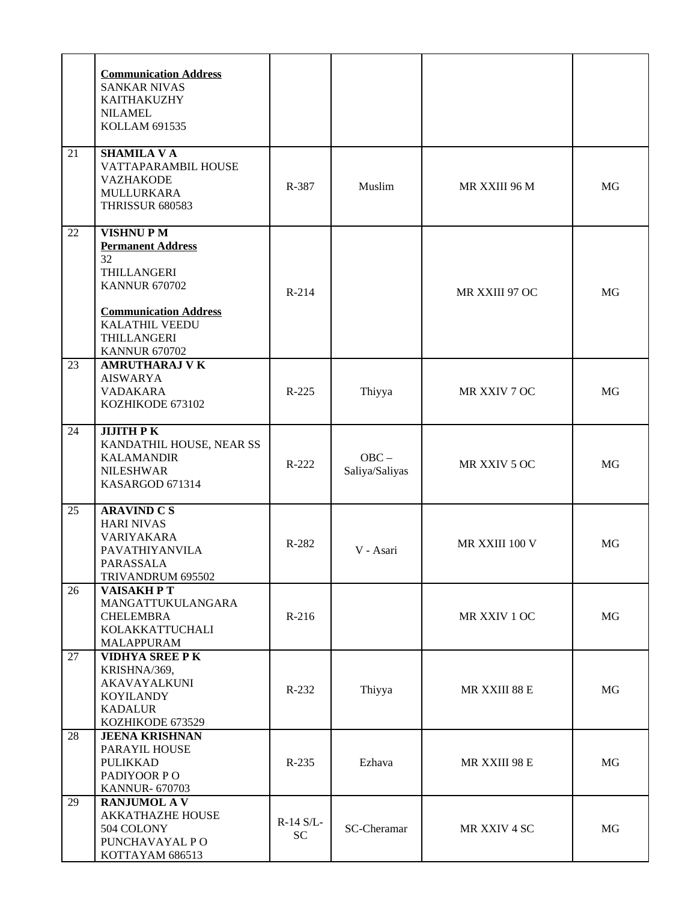|    | <b>Communication Address</b><br><b>SANKAR NIVAS</b><br>KAITHAKUZHY<br><b>NILAMEL</b><br><b>KOLLAM 691535</b>                                                                             |                 |                           |                |    |
|----|------------------------------------------------------------------------------------------------------------------------------------------------------------------------------------------|-----------------|---------------------------|----------------|----|
| 21 | <b>SHAMILA V A</b><br>VATTAPARAMBIL HOUSE<br><b>VAZHAKODE</b><br>MULLURKARA<br><b>THRISSUR 680583</b>                                                                                    | R-387           | Muslim                    | MR XXIII 96 M  | MG |
| 22 | <b>VISHNUPM</b><br><b>Permanent Address</b><br>32<br>THILLANGERI<br><b>KANNUR 670702</b><br><b>Communication Address</b><br><b>KALATHIL VEEDU</b><br>THILLANGERI<br><b>KANNUR 670702</b> | $R-214$         |                           | MR XXIII 97 OC | MG |
| 23 | <b>AMRUTHARAJ V K</b><br><b>AISWARYA</b><br>VADAKARA<br>KOZHIKODE 673102                                                                                                                 | $R-225$         | Thiyya                    | MR XXIV 7 OC   | MG |
| 24 | <b>JIJITH PK</b><br>KANDATHIL HOUSE, NEAR SS<br><b>KALAMANDIR</b><br><b>NILESHWAR</b><br>KASARGOD 671314                                                                                 | R-222           | $OBC -$<br>Saliya/Saliyas | MR XXIV 5 OC   | MG |
| 25 | <b>ARAVIND C S</b><br><b>HARI NIVAS</b><br><b>VARIYAKARA</b><br>PAVATHIYANVILA<br>PARASSALA<br>TRIVANDRUM 695502                                                                         | R-282           | V - Asari                 | MR XXIII 100 V | MG |
| 26 | <b>VAISAKHPT</b><br>MANGATTUKULANGARA<br><b>CHELEMBRA</b><br>KOLAKKATTUCHALI<br>MALAPPURAM                                                                                               | $R-216$         |                           | MR XXIV 1 OC   | MG |
| 27 | <b>VIDHYA SREE PK</b><br>KRISHNA/369,<br>AKAVAYALKUNI<br><b>KOYILANDY</b><br><b>KADALUR</b><br>KOZHIKODE 673529                                                                          | $R-232$         | Thiyya                    | MR XXIII 88 E  | MG |
| 28 | <b>JEENA KRISHNAN</b><br>PARAYIL HOUSE<br><b>PULIKKAD</b><br>PADIYOOR PO<br><b>KANNUR-670703</b>                                                                                         | R-235           | Ezhava                    | MR XXIII 98 E  | MG |
| 29 | <b>RANJUMOL AV</b><br><b>AKKATHAZHE HOUSE</b><br>504 COLONY<br>PUNCHAVAYAL PO<br>KOTTAYAM 686513                                                                                         | R-14 S/L-<br>SC | SC-Cheramar               | MR XXIV 4 SC   | MG |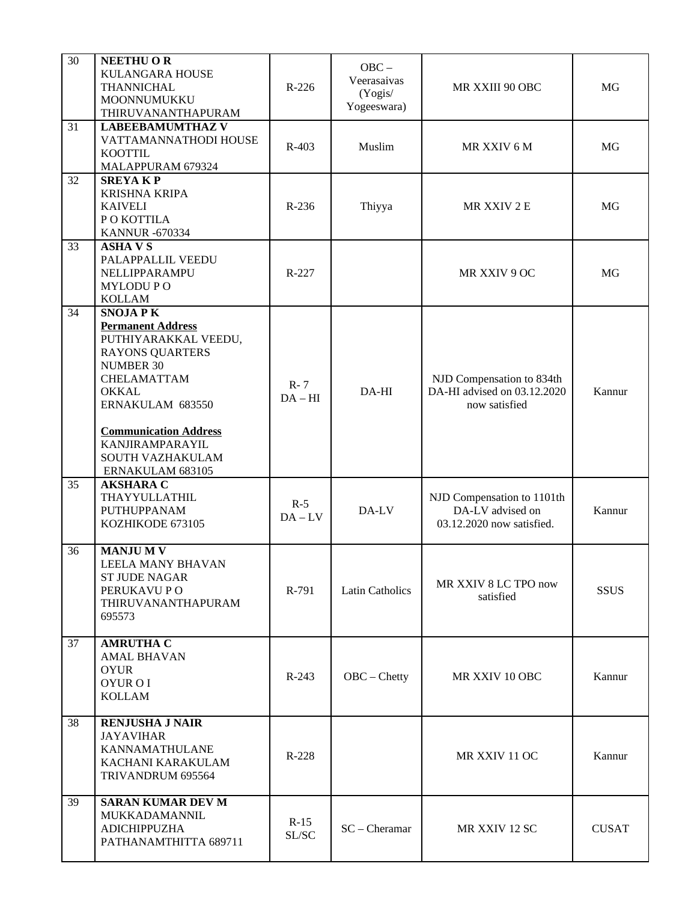| $\overline{30}$ | <b>NEETHU OR</b><br><b>KULANGARA HOUSE</b><br>THANNICHAL<br>MOONNUMUKKU<br>THIRUVANANTHAPURAM                                                                                                                                                                  | $R-226$            | $OBC -$<br>Veerasaivas<br>(Yogis/<br>Yogeeswara) | MR XXIII 90 OBC                                                             | MG           |
|-----------------|----------------------------------------------------------------------------------------------------------------------------------------------------------------------------------------------------------------------------------------------------------------|--------------------|--------------------------------------------------|-----------------------------------------------------------------------------|--------------|
| 31              | <b>LABEEBAMUMTHAZ V</b><br>VATTAMANNATHODI HOUSE<br><b>KOOTTIL</b><br>MALAPPURAM 679324                                                                                                                                                                        | R-403              | Muslim                                           | MR XXIV 6 M                                                                 | MG           |
| 32              | <b>SREYAKP</b><br><b>KRISHNA KRIPA</b><br><b>KAIVELI</b><br>PO KOTTILA<br><b>KANNUR-670334</b>                                                                                                                                                                 | R-236              | Thiyya                                           | MR XXIV 2 E                                                                 | MG           |
| 33              | <b>ASHAVS</b><br>PALAPPALLIL VEEDU<br>NELLIPPARAMPU<br><b>MYLODUPO</b><br><b>KOLLAM</b>                                                                                                                                                                        | R-227              |                                                  | MR XXIV 9 OC                                                                | MG           |
| 34              | <b>SNOJAPK</b><br><b>Permanent Address</b><br>PUTHIYARAKKAL VEEDU,<br><b>RAYONS QUARTERS</b><br><b>NUMBER 30</b><br>CHELAMATTAM<br><b>OKKAL</b><br>ERNAKULAM 683550<br><b>Communication Address</b><br>KANJIRAMPARAYIL<br>SOUTH VAZHAKULAM<br>ERNAKULAM 683105 | $R - 7$<br>$DA-HI$ | DA-HI                                            | NJD Compensation to 834th<br>DA-HI advised on 03.12.2020<br>now satisfied   | Kannur       |
| 35              | <b>AKSHARA C</b><br>THAYYULLATHIL<br>PUTHUPPANAM<br>KOZHIKODE 673105                                                                                                                                                                                           | $R-5$<br>$DA - LV$ | DA-LV                                            | NJD Compensation to 1101th<br>DA-LV advised on<br>03.12.2020 now satisfied. | Kannur       |
| 36              | <b>MANJUMV</b><br>LEELA MANY BHAVAN<br><b>ST JUDE NAGAR</b><br>PERUKAVU PO<br>THIRUVANANTHAPURAM<br>695573                                                                                                                                                     | R-791              | <b>Latin Catholics</b>                           | MR XXIV 8 LC TPO now<br>satisfied                                           | <b>SSUS</b>  |
| 37              | <b>AMRUTHA C</b><br><b>AMAL BHAVAN</b><br><b>OYUR</b><br>OYUR O I<br><b>KOLLAM</b>                                                                                                                                                                             | $R-243$            | OBC - Chetty                                     | MR XXIV 10 OBC                                                              | Kannur       |
| 38              | <b>RENJUSHA J NAIR</b><br><b>JAYAVIHAR</b><br><b>KANNAMATHULANE</b><br>KACHANI KARAKULAM<br>TRIVANDRUM 695564                                                                                                                                                  | $R-228$            |                                                  | MR XXIV 11 OC                                                               | Kannur       |
| 39              | <b>SARAN KUMAR DEV M</b><br>MUKKADAMANNIL<br><b>ADICHIPPUZHA</b><br>PATHANAMTHITTA 689711                                                                                                                                                                      | $R-15$<br>SL/SC    | $SC - Chernar$                                   | MR XXIV 12 SC                                                               | <b>CUSAT</b> |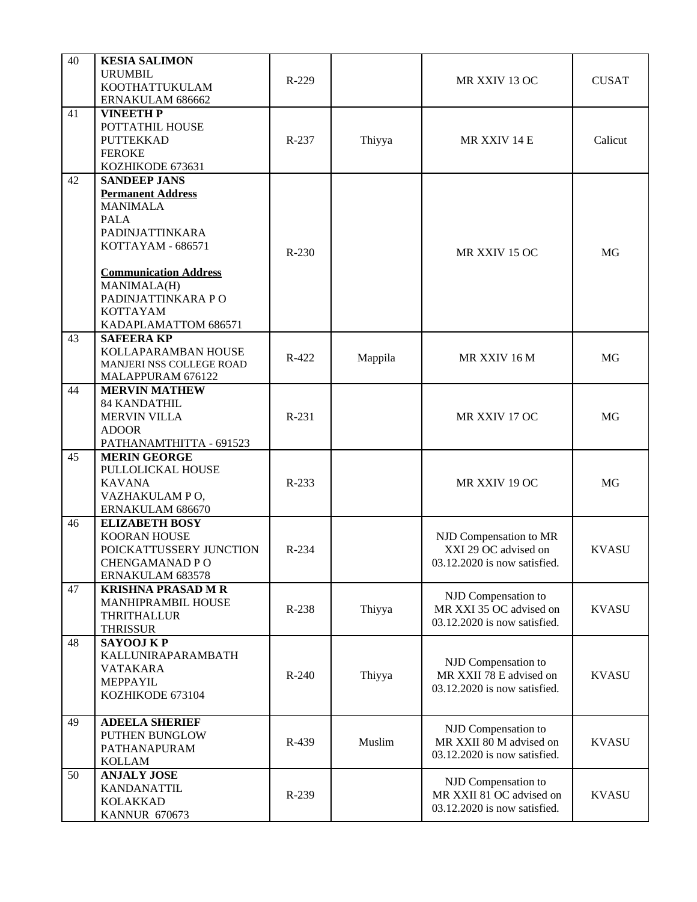| 40 | <b>KESIA SALIMON</b>         |         |         |                              |              |  |
|----|------------------------------|---------|---------|------------------------------|--------------|--|
|    | <b>URUMBIL</b>               |         |         |                              |              |  |
|    | KOOTHATTUKULAM               | R-229   |         | MR XXIV 13 OC                | <b>CUSAT</b> |  |
|    | ERNAKULAM 686662             |         |         |                              |              |  |
| 41 | <b>VINEETH P</b>             |         |         |                              |              |  |
|    | POTTATHIL HOUSE              |         |         |                              |              |  |
|    | <b>PUTTEKKAD</b>             | $R-237$ | Thiyya  | MR XXIV 14 E                 | Calicut      |  |
|    |                              |         |         |                              |              |  |
|    | <b>FEROKE</b>                |         |         |                              |              |  |
|    | KOZHIKODE 673631             |         |         |                              |              |  |
| 42 | <b>SANDEEP JANS</b>          |         |         |                              |              |  |
|    | <b>Permanent Address</b>     |         |         |                              |              |  |
|    | <b>MANIMALA</b>              |         |         |                              |              |  |
|    | <b>PALA</b>                  |         |         |                              |              |  |
|    | PADINJATTINKARA              |         |         |                              |              |  |
|    | KOTTAYAM - 686571            |         |         |                              |              |  |
|    |                              | R-230   |         | MR XXIV 15 OC                | MG           |  |
|    | <b>Communication Address</b> |         |         |                              |              |  |
|    |                              |         |         |                              |              |  |
|    | MANIMALA(H)                  |         |         |                              |              |  |
|    | PADINJATTINKARA PO           |         |         |                              |              |  |
|    | KOTTAYAM                     |         |         |                              |              |  |
|    | KADAPLAMATTOM 686571         |         |         |                              |              |  |
| 43 | <b>SAFEERA KP</b>            |         |         |                              |              |  |
|    | KOLLAPARAMBAN HOUSE          | R-422   | Mappila | MR XXIV 16 M                 | MG           |  |
|    | MANJERI NSS COLLEGE ROAD     |         |         |                              |              |  |
|    | MALAPPURAM 676122            |         |         |                              |              |  |
| 44 | <b>MERVIN MATHEW</b>         |         |         |                              |              |  |
|    | 84 KANDATHIL                 |         |         |                              |              |  |
|    | <b>MERVIN VILLA</b>          | R-231   |         | MR XXIV 17 OC                | MG           |  |
|    | <b>ADOOR</b>                 |         |         |                              |              |  |
|    |                              |         |         |                              |              |  |
|    | PATHANAMTHITTA - 691523      |         |         |                              |              |  |
| 45 | <b>MERIN GEORGE</b>          |         |         |                              |              |  |
|    | PULLOLICKAL HOUSE            |         |         |                              |              |  |
|    | <b>KAVANA</b>                | $R-233$ |         | MR XXIV 19 OC                | MG           |  |
|    | VAZHAKULAM PO,               |         |         |                              |              |  |
|    | ERNAKULAM 686670             |         |         |                              |              |  |
| 46 | <b>ELIZABETH BOSY</b>        |         |         |                              |              |  |
|    | <b>KOORAN HOUSE</b>          |         |         | NJD Compensation to MR       |              |  |
|    | POICKATTUSSERY JUNCTION      | R-234   |         | XXI 29 OC advised on         | <b>KVASU</b> |  |
|    | <b>CHENGAMANAD PO</b>        |         |         | 03.12.2020 is now satisfied. |              |  |
|    |                              |         |         |                              |              |  |
|    | ERNAKULAM 683578             |         |         |                              |              |  |
| 47 | <b>KRISHNA PRASAD M R</b>    |         |         | NJD Compensation to          |              |  |
|    | MANHIPRAMBIL HOUSE           | R-238   | Thiyya  | MR XXI 35 OC advised on      | <b>KVASU</b> |  |
|    | THRITHALLUR                  |         |         | 03.12.2020 is now satisfied. |              |  |
|    | <b>THRISSUR</b>              |         |         |                              |              |  |
| 48 | <b>SAYOOJ KP</b>             |         |         |                              |              |  |
|    | KALLUNIRAPARAMBATH           |         |         |                              |              |  |
|    | <b>VATAKARA</b>              |         |         | NJD Compensation to          |              |  |
|    | MEPPAYIL                     | R-240   | Thiyya  | MR XXII 78 E advised on      | <b>KVASU</b> |  |
|    | KOZHIKODE 673104             |         |         | 03.12.2020 is now satisfied. |              |  |
|    |                              |         |         |                              |              |  |
|    |                              |         |         |                              |              |  |
| 49 | <b>ADEELA SHERIEF</b>        |         |         | NJD Compensation to          |              |  |
|    | PUTHEN BUNGLOW               | R-439   | Muslim  | MR XXII 80 M advised on      | <b>KVASU</b> |  |
|    | PATHANAPURAM                 |         |         | 03.12.2020 is now satisfied. |              |  |
|    | <b>KOLLAM</b>                |         |         |                              |              |  |
| 50 | <b>ANJALY JOSE</b>           |         |         |                              |              |  |
|    | KANDANATTIL                  |         |         | NJD Compensation to          |              |  |
|    | <b>KOLAKKAD</b>              | R-239   |         | MR XXII 81 OC advised on     | <b>KVASU</b> |  |
|    | <b>KANNUR 670673</b>         |         |         | 03.12.2020 is now satisfied. |              |  |
|    |                              |         |         |                              |              |  |